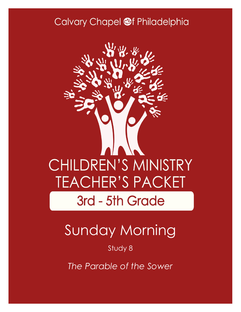### Calvary Chapel @f Philadelphia



# Sunday Morning

Study 8

*The Parable of the Sower*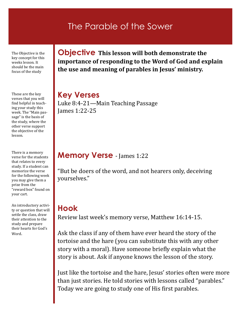### The Parable of the Sower

The Objective is the key concept for this weeks lesson. It should be the main focus of the study

These are the key verses that you will find helpful in teaching your study this week. The "Main passage" is the basis of the study, where the other verse support the objective of the lesson.

There is a memory verse for the students that relates to every study. If a student can memorize the verse for the following week you may give them a prize from the "reward box" found on your cart.

An introductory activity or question that will settle the class, draw their attention to the study and prepare their hearts for God's Word.

**Objective This lesson will both demonstrate the importance of responding to the Word of God and explain the use and meaning of parables in Jesus' ministry.**

**Key Verses** Luke 8:4-21—Main Teaching Passage James 1:22-25

#### **Memory Verse** - James 1:22

"But be doers of the word, and not hearers only, deceiving yourselves."

#### **Hook**

Review last week's memory verse, Matthew 16:14-15.

Ask the class if any of them have ever heard the story of the tortoise and the hare (you can substitute this with any other story with a moral). Have someone briefly explain what the story is about. Ask if anyone knows the lesson of the story.

Just like the tortoise and the hare, Jesus' stories often were more than just stories. He told stories with lessons called "parables." Today we are going to study one of His first parables.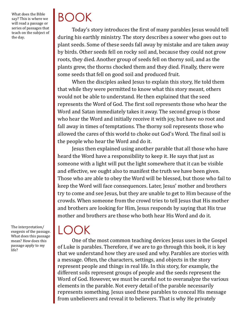What does the Bible say? This is where we will read a passage or series of passages that teach on the subject of the day.

# BOOK

Today's story introduces the first of many parables Jesus would tell during his earthly ministry. The story describes a sower who goes out to plant seeds. Some of these seeds fall away by mistake and are taken away by birds. Other seeds fell on rocky soil and, because they could not grow roots, they died. Another group of seeds fell on thorny soil, and as the plants grew, the thorns chocked them and they died. Finally, there were some seeds that fell on good soil and produced fruit.

When the disciples asked Jesus to explain this story, He told them that while they were permitted to know what this story meant, others would not be able to understand. He then explained that the seed represents the Word of God. The first soil represents those who hear the Word and Satan immediately takes it away. The second group is those who hear the Word and initially receive it with joy, but have no root and fall away in times of temptations. The thorny soil represents those who allowed the cares of this world to choke out God's Word. The final soil is the people who hear the Word and do it.

Jesus then explained using another parable that all those who have heard the Word have a responsibility to keep it. He says that just as someone with a light will put the light somewhere that it can be visible and effective, we ought also to manifest the truth we have been given. Those who are able to obey the Word will be blessed, but those who fail to keep the Word will face consequences. Later, Jesus' mother and brothers try to come and see Jesus, but they are unable to get to Him because of the crowds. When someone from the crowd tries to tell Jesus that His mother and brothers are looking for Him, Jesus responds by saying that His true mother and brothers are those who both hear His Word and do it.

The interpretation/ exegesis of the passage. What does this passage mean? How does this passage apply to my life?

### $\overline{\phantom{a}}$

One of the most common teaching devices Jesus uses in the Gospel of Luke is parables. Therefore, if we are to go through this book, it is key that we understand how they are used and why. Parables are stories with a message. Often, the characters, settings, and objects in the story represent people and things in real life. In this story, for example, the different soils represent groups of people and the seeds represent the Word of God. However, we must be careful not to overanalyze the various elements in the parable. Not every detail of the parable necessarily represents something. Jesus used these parables to conceal His message from unbelievers and reveal it to believers. That is why He privately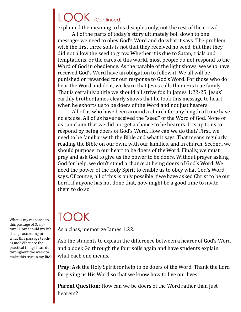## LOOK (Continued)

explained the meaning to his disciples only, not the rest of the crowd.

All of the parts of today's story ultimately boil down to one message: we need to obey God's Word and do what it says. The problem with the first three soils is not that they received no seed, but that they did not allow the seed to grow. Whether it is due to Satan, trials and temptations, or the cares of this world, most people do not respond to the Word of God in obedience. As the parable of the light shows, we who have received God's Word have an obligation to follow it. We all will be punished or rewarded for our response to God's Word. For those who do hear the Word and do it, we learn that Jesus calls them His true family. That is certainly a title we should all strive for. In James 1:22-25, Jesus' earthly brother James clearly shows that he took this message to heart when he exhorts us to be doers of the Word and not just hearers.

All of us who have been around a church for any length of time have no excuse. All of us have received the "seed" of the Word of God. None of us can claim that we did not get a chance to be hearers. It is up to us to respond by being doers of God's Word. How can we do that? First, we need to be familiar with the Bible and what it says. That means regularly reading the Bible on our own, with our families, and in church. Second, we should purpose in our heart to be doers of the Word. Finally, we must pray and ask God to give us the power to be doers. Without prayer asking God for help, we don't stand a chance at being doers of God's Word. We need the power of the Holy Spirit to enable us to obey what God's Word says. Of course, all of this is only possible if we have asked Christ to be our Lord. If anyone has not done that, now might be a good time to invite them to do so.

## TOOK

As a class, memorize James 1:22.

Ask the students to explain the difference between a hearer of God's Word and a doer. Go through the four soils again and have students explain what each one means.

**Pray:** Ask the Holy Spirit for help to be doers of the Word. Thank the Lord for giving us His Word so that we know how to live our lives.

Parent Question: How can we be doers of the Word rather than just hearers?

What is my response to this passage of Scripture? How should my life change according to what this passage teaches me? What are the practical things I can do throughout the week to make this true in my life?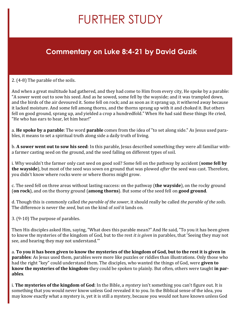## FURTHER STUDY

#### **Commentary on Luke 8:4-21 by David Guzik**

#### 2. (4-8) The parable of the soils.

And when a great multitude had gathered, and they had come to Him from every city, He spoke by a parable: "A sower went out to sow his seed. And as he sowed, some fell by the wayside; and it was trampled down, and the birds of the air devoured it. Some fell on rock; and as soon as it sprang up, it withered away because it lacked moisture. And some fell among thorns, and the thorns sprang up with it and choked it. But others fell on good ground, sprang up, and yielded a crop a hundredfold." When He had said these things He cried, "He who has ears to hear, let him hear!"

a. **He spoke by a parable**: The word **parable** comes from the idea of "to set along side." As Jesus used parables, it means to set a spiritual truth along side a daily truth of living.

b. **A sower went out to sow his seed**: In this parable, Jesus described something they were all familiar witha farmer casting seed on the ground, and the seed falling on different types of soil.

i. Why wouldn't the farmer only cast seed on good soil? Some fell on the pathway by accident (**some fell by the wayside**), but most of the seed was sown on ground that was plowed *after* the seed was cast. Therefore, you didn't know where rocks were or where thorns might grow.

c. The seed fell on three areas without lasting success: on the pathway (**the wayside**), on the rocky ground (**on rock**), and on the thorny ground (**among thorns**). But some of the seed fell on **good ground**.

d. Though this is commonly called *the parable of the sower*, it should really be called *the parable of the soils*. The difference is never the *seed*, but on the kind of *soil* it lands on.

#### 3. (9-10) The purpose of parables.

Then His disciples asked Him, saying, "What does this parable mean?" And He said, "To you it has been given to know the mysteries of the kingdom of God, but to the rest *it is given* in parables, that 'Seeing they may not see, and hearing they may not understand.'"

a. **To you it has been given to know the mysteries of the kingdom of God, but to the rest it is given in parables**: As Jesus used them, parables were more like puzzles or riddles than illustrations. Only those who had the right "key" could understand them. The disciples, who wanted the things of God, were **given to know the mysteries of the kingdom**-they could be spoken to plainly. But often, others were taught **in parables**.

i. **The mysteries of the kingdom of God**: In the Bible, a *mystery* isn't something you can't figure out. It is something that you would never know unless God revealed it to you. In the Biblical sense of the idea, you may know exactly what a mystery is, yet it is still a mystery, because you would not have known unless God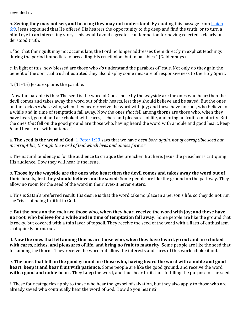#### revealed it.

b. **Seeing they may not see, and hearing they may not understand**: By quoting this passage from [Isaiah](https://www.blueletterbible.org/kjv/Isa/6/9/s_685009)  [6:9,](https://www.blueletterbible.org/kjv/Isa/6/9/s_685009) Jesus explained that He offered His hearers the opportunity to dig deep and find the truth, or to turn a blind eye to an interesting story. This would avoid a greater condemnation for having rejected a clearly understood truth.

i. "So, that their guilt may not accumulate, the Lord no longer addresses them directly in explicit teachings during the period immediately preceding His crucifixion, but in parables." (Geldenhuys)

c. In light of this, how blessed are those who *do* understand the parables of Jesus. Not only do they gain the benefit of the spiritual truth illustrated they also display some measure of responsiveness to the Holy Spirit.

4. (11-15) Jesus explains the parable.

"Now the parable is this: The seed is the word of God. Those by the wayside are the ones who hear; then the devil comes and takes away the word out of their hearts, lest they should believe and be saved. But the ones on the rock *are those* who, when they hear, receive the word with joy; and these have no root, who believe for a while and in time of temptation fall away. Now the ones *that* fell among thorns are those who, when they have heard, go out and are choked with cares, riches, and pleasures of life, and bring no fruit to maturity. But the ones *that* fell on the good ground are those who, having heard the word with a noble and good heart, keep *it* and bear fruit with patience."

a. **The seed is the word of God**: [1 Peter 1:23](https://www.blueletterbible.org/kjv/1Pe/1/23/s_1152023) says that we have *been born again, not of corruptible seed but incorruptible, through the word of God which lives and abides forever*.

i. The natural tendency is for the audience to critique the preacher. But here, Jesus the preacher is critiquing His audience. How they will hear is the issue.

b. **Those by the wayside are the ones who hear; then the devil comes and takes away the word out of their hearts, lest they should believe and be saved**: Some people are like the ground on the pathway. They allow no room for the seed of the word in their lives-it never enters.

i. This is Satan's preferred result. His desire is that the word take no place in a person's life, so they do not run the "risk" of being fruitful to God.

c. **But the ones on the rock are those who, when they hear, receive the word with joy; and these have no root, who believe for a while and in time of temptation fall away**: Some people are like the ground that is rocky, but covered with a thin layer of topsoil. They receive the seed of the word with a flash of enthusiasm that quickly burns out.

d. **Now the ones that fell among thorns are those who, when they have heard, go out and are choked with cares, riches, and pleasures of life, and bring no fruit to maturity**: Some people are like the seed that fell among the thorns. They receive the word but allow the interests and cares of this world choke it out.

e. **The ones that fell on the good ground are those who, having heard the word with a noble and good heart, keep it and bear fruit with patience**: Some people are like the good ground, and receive the word **with a good and noble heart**. They **keep** the word, and thus bear fruit, thus fulfilling the purpose of the seed.

f. These four categories apply to those who hear the gospel of salvation, but they also apply to those who are already saved who continually hear the word of God. How do you hear it?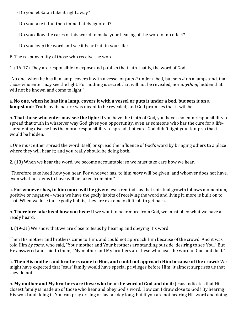- Do you let Satan take it right away?
- Do you take it but then immediately ignore it?
- Do you allow the cares of this world to make your hearing of the word of no effect?
- Do you keep the word and see it bear fruit in your life?
- B. The responsibility of those who receive the word.

1. (16-17) They are responsible to expose and publish the truth-that is, the word of God.

"No one, when he has lit a lamp, covers it with a vessel or puts *it* under a bed, but sets *it* on a lampstand, that those who enter may see the light. For nothing is secret that will not be revealed, nor *anything* hidden that will not be known and come to light."

a. **No one, when he has lit a lamp, covers it with a vessel or puts it under a bed, but sets it on a lampstand**: Truth, by its nature was meant to be revealed; and God promises that it will be.

b. **That those who enter may see the light**: If you have the truth of God, you have a solemn responsibility to spread that truth in whatever way God gives you opportunity, even as someone who has the cure for a lifethreatening disease has the moral responsibility to spread that cure. God didn't light your lamp so that it would be hidden.

i. One must either spread the word itself, or spread the influence of God's word by bringing others to a place where they will hear it; and you really should be doing both.

2. (18) When we hear the word, we become accountable; so we must take care how we hear.

"Therefore take heed how you hear. For whoever has, to him *more* will be given; and whoever does not have, even what he seems to have will be taken from him."

a. **For whoever has, to him more will be given**: Jesus reminds us that spiritual growth follows momentum, positive or negative - when we have the godly habits of receiving the word and living it, more is built on to that. When we lose those godly habits, they are extremely difficult to get back.

b. **Therefore take heed how you hear**: If we want to hear more from God, we must obey what we have already heard.

3. (19-21) We show that we are close to Jesus by hearing and obeying His word.

Then His mother and brothers came to Him, and could not approach Him because of the crowd. And it was told Him *by some,* who said, "Your mother and Your brothers are standing outside, desiring to see You." But He answered and said to them, "My mother and My brothers are these who hear the word of God and do it."

a. **Then His mother and brothers came to Him, and could not approach Him because of the crowd**: We might have expected that Jesus' family would have special privileges before Him; it almost surprises us that they do not.

b. **My mother and My brothers are these who hear the word of God and do it**: Jesus indicates that His closest family is made up of those who hear and obey God's word. How can I draw close to God? By hearing His word and doing it. You can pray or sing or fast all day long, but if you are not hearing His word and doing